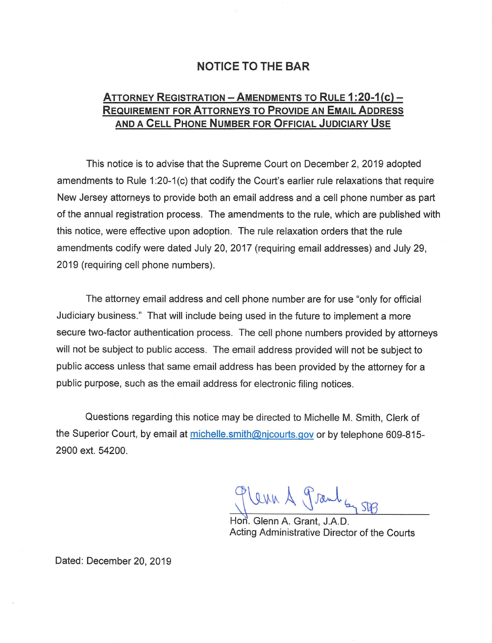### **NOTICE TO THE BAR**

# **ATTORNEY REGISTRATION -AMENDMENTS TO RULE 1 :20-1 (c)- REQUIREMENT FOR ATTORNEYS TO PROVIDE AN EMAIL ADDRESS AND A CELL PHONE NUMBER FOR OFFICIAL JUDICIARY USE**

This notice is to advise that the Supreme Court on December 2, 2019 adopted amendments to Rule 1:20-1(c) that codify the Court's earlier rule relaxations that require New Jersey attorneys to provide both an email address and a cell phone number as part of the annual registration process. The amendments to the rule, which are published with this notice, were effective upon adoption. The rule relaxation orders that the rule amendments codify were dated July 20, 2017 (requiring email addresses) and July 29, 2019 (requiring cell phone numbers).

The attorney email address and cell phone number are for use "only for official Judiciary business." That will include being used in the future to implement a more secure two-factor authentication process. The cell phone numbers provided by attorneys will not be subject to public access. The email address provided will not be subject to public access unless that same email address has been provided by the attorney for a public purpose, such as the email address for electronic filing notices.

Questions regarding this notice may be directed to Michelle M. Smith, Clerk of the Superior Court, by email at michelle.smith@njcourts.gov or by telephone 609-815-2900 ext. 54200.

1 Prant Sy SEB

Hon. Glenn A. Grant, J.A.D. Acting Administrative Director of the Courts

Dated: December 20, 2019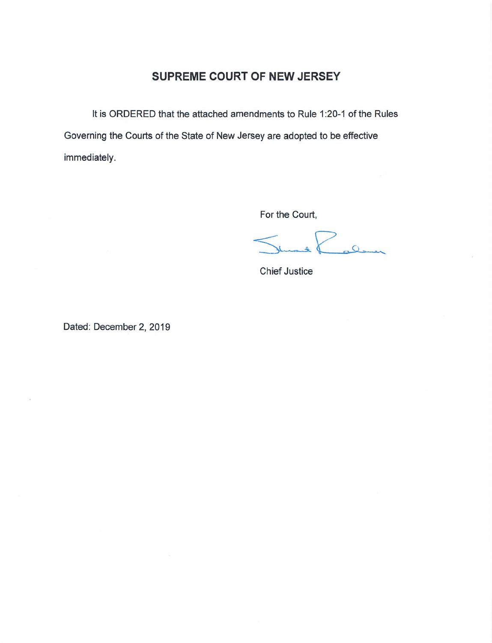## **SUPREME COURT OF NEW JERSEY**

It is ORDERED that the attached amendments to Rule 1:20-1 of the Rules Governing the Courts of the State of New Jersey are adopted to be effective immediately.

For the Court,

Leaven

Chief Justice

Dated: December 2, 2019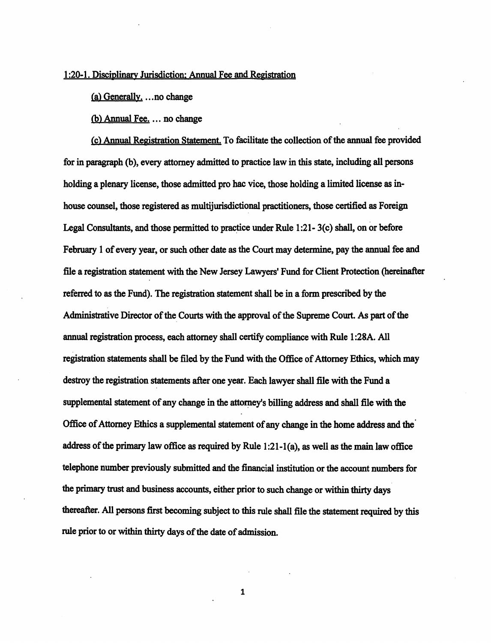#### 1 :20-1. Disciplinary Jurisdiction; Annual Fee and Registration

 $(a)$  Generally. ... no change

 $(b)$  Annual Fee.  $\ldots$  no change

(c) Annual **Registration** Statement To facilitate the collection of the annual fee provided for in paragraph (b), every attorney admitted to practice law in this state, including all persons holding a plenary license, those admitted pro hac vice, those holding a limited license as inhouse counsel, those registered as multijurisdictional practitioners, those certified as Foreign Legal Consultants, and those permitted to practice under Rule 1:21- 3(c) shall, on or before February 1 of every year, or such other date as the Court may determine, pay the annual fee and file a registration statement with the New Jersey Lawyers' Fund for Client Protection (hereinafter referred to as the Fund). The registration statement shall be in a form prescribed by the Administrative Director of the\_ Courts with the approval of the Supreme Court. As part of the annual registration process, each attorney shall certify compliance with Rule 1 :28A. All registration statements shall be filed by the Fund with the Office of Attorney Ethics, which may destroy the registration statements after one year. Each lawyer shall file with the Fund a supplemental statement of any change in the attorney's billing address and shall file with the Office of Attorney Ethics a supplemental statement of any change in the home address and the· address of the primary law office as required by Rule 1:21-l(a), as well as the main law office telephone number previously submitted and the financial institution or the account numbers for the primary trust and business accounts, either prior to such change or within thirty days thereafter. All persons first becoming subject to this rule shall file the statement required by this rule prior to or within thirty days of the date of admission.

1